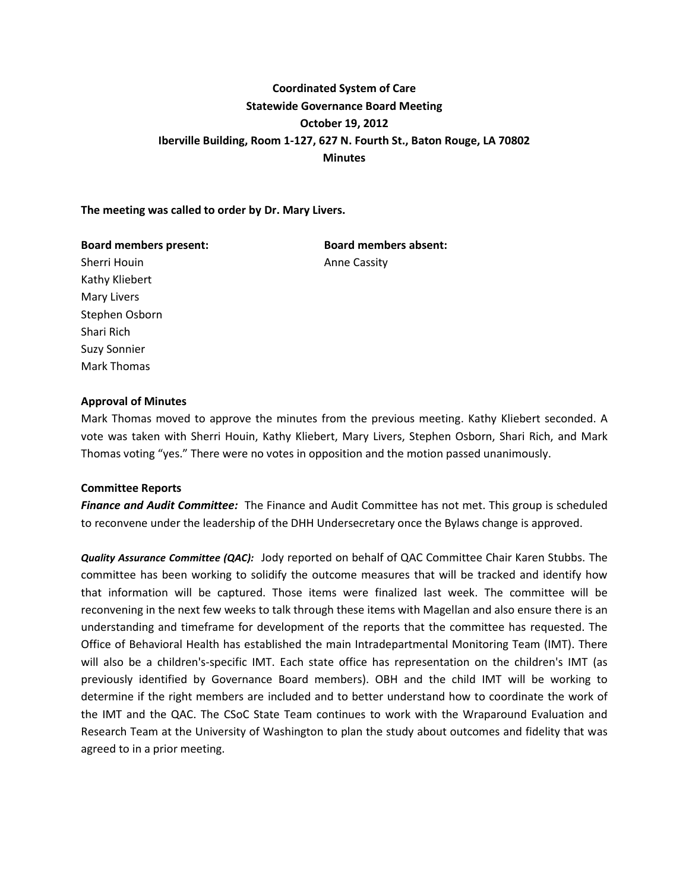# **Coordinated System of Care Statewide Governance Board Meeting October 19, 2012 Iberville Building, Room 1-127, 627 N. Fourth St., Baton Rouge, LA 70802 Minutes**

# **The meeting was called to order by Dr. Mary Livers.**

#### **Board members present: Board members absent:**

Sherri Houin **Anne Cassity** Kathy Kliebert Mary Livers Stephen Osborn Shari Rich Suzy Sonnier Mark Thomas

# **Approval of Minutes**

Mark Thomas moved to approve the minutes from the previous meeting. Kathy Kliebert seconded. A vote was taken with Sherri Houin, Kathy Kliebert, Mary Livers, Stephen Osborn, Shari Rich, and Mark Thomas voting "yes." There were no votes in opposition and the motion passed unanimously.

# **Committee Reports**

*Finance and Audit Committee:* The Finance and Audit Committee has not met. This group is scheduled to reconvene under the leadership of the DHH Undersecretary once the Bylaws change is approved.

*Quality Assurance Committee (QAC):* Jody reported on behalf of QAC Committee Chair Karen Stubbs. The committee has been working to solidify the outcome measures that will be tracked and identify how that information will be captured. Those items were finalized last week. The committee will be reconvening in the next few weeks to talk through these items with Magellan and also ensure there is an understanding and timeframe for development of the reports that the committee has requested. The Office of Behavioral Health has established the main Intradepartmental Monitoring Team (IMT). There will also be a children's-specific IMT. Each state office has representation on the children's IMT (as previously identified by Governance Board members). OBH and the child IMT will be working to determine if the right members are included and to better understand how to coordinate the work of the IMT and the QAC. The CSoC State Team continues to work with the Wraparound Evaluation and Research Team at the University of Washington to plan the study about outcomes and fidelity that was agreed to in a prior meeting.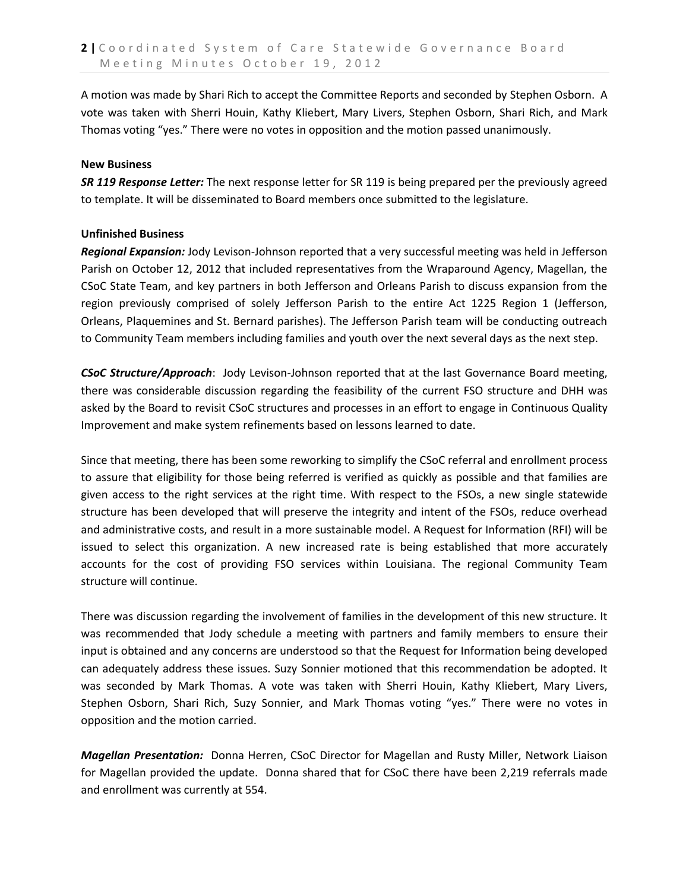A motion was made by Shari Rich to accept the Committee Reports and seconded by Stephen Osborn. A vote was taken with Sherri Houin, Kathy Kliebert, Mary Livers, Stephen Osborn, Shari Rich, and Mark Thomas voting "yes." There were no votes in opposition and the motion passed unanimously.

# **New Business**

*SR 119 Response Letter:* The next response letter for SR 119 is being prepared per the previously agreed to template. It will be disseminated to Board members once submitted to the legislature.

# **Unfinished Business**

*Regional Expansion:* Jody Levison-Johnson reported that a very successful meeting was held in Jefferson Parish on October 12, 2012 that included representatives from the Wraparound Agency, Magellan, the CSoC State Team, and key partners in both Jefferson and Orleans Parish to discuss expansion from the region previously comprised of solely Jefferson Parish to the entire Act 1225 Region 1 (Jefferson, Orleans, Plaquemines and St. Bernard parishes). The Jefferson Parish team will be conducting outreach to Community Team members including families and youth over the next several days as the next step.

*CSoC Structure/Approach*: Jody Levison-Johnson reported that at the last Governance Board meeting, there was considerable discussion regarding the feasibility of the current FSO structure and DHH was asked by the Board to revisit CSoC structures and processes in an effort to engage in Continuous Quality Improvement and make system refinements based on lessons learned to date.

Since that meeting, there has been some reworking to simplify the CSoC referral and enrollment process to assure that eligibility for those being referred is verified as quickly as possible and that families are given access to the right services at the right time. With respect to the FSOs, a new single statewide structure has been developed that will preserve the integrity and intent of the FSOs, reduce overhead and administrative costs, and result in a more sustainable model. A Request for Information (RFI) will be issued to select this organization. A new increased rate is being established that more accurately accounts for the cost of providing FSO services within Louisiana. The regional Community Team structure will continue.

There was discussion regarding the involvement of families in the development of this new structure. It was recommended that Jody schedule a meeting with partners and family members to ensure their input is obtained and any concerns are understood so that the Request for Information being developed can adequately address these issues. Suzy Sonnier motioned that this recommendation be adopted. It was seconded by Mark Thomas. A vote was taken with Sherri Houin, Kathy Kliebert, Mary Livers, Stephen Osborn, Shari Rich, Suzy Sonnier, and Mark Thomas voting "yes." There were no votes in opposition and the motion carried.

*Magellan Presentation:* Donna Herren, CSoC Director for Magellan and Rusty Miller, Network Liaison for Magellan provided the update. Donna shared that for CSoC there have been 2,219 referrals made and enrollment was currently at 554.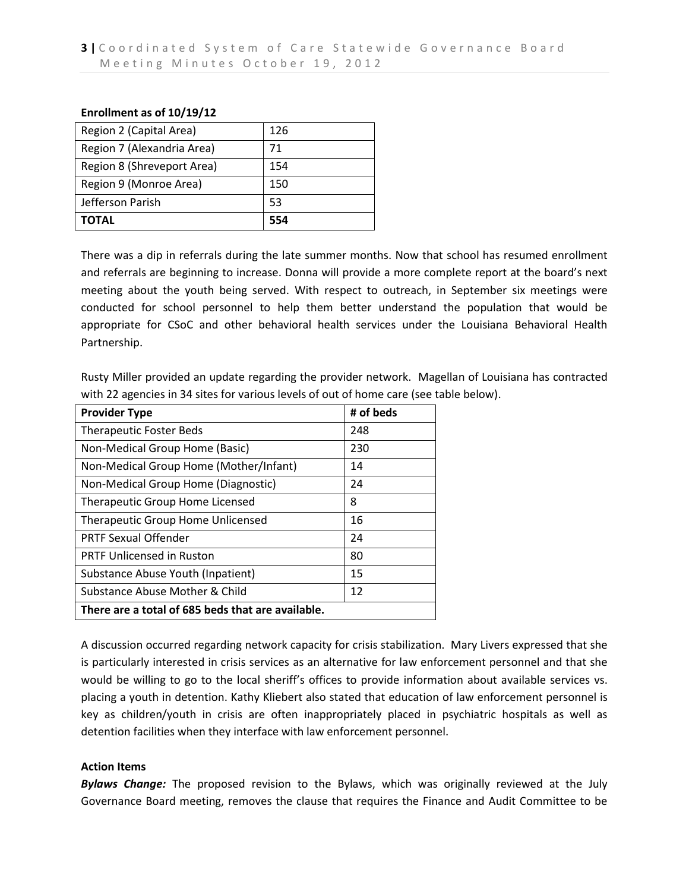#### **Enrollment as of 10/19/12**

| Region 2 (Capital Area)    | 126 |
|----------------------------|-----|
| Region 7 (Alexandria Area) | 71  |
| Region 8 (Shreveport Area) | 154 |
| Region 9 (Monroe Area)     | 150 |
| Jefferson Parish           | 53  |
| ΤΟΤΑL                      | 554 |

There was a dip in referrals during the late summer months. Now that school has resumed enrollment and referrals are beginning to increase. Donna will provide a more complete report at the board's next meeting about the youth being served. With respect to outreach, in September six meetings were conducted for school personnel to help them better understand the population that would be appropriate for CSoC and other behavioral health services under the Louisiana Behavioral Health Partnership.

Rusty Miller provided an update regarding the provider network. Magellan of Louisiana has contracted with 22 agencies in 34 sites for various levels of out of home care (see table below).

| <b>Provider Type</b>                              | # of beds |  |
|---------------------------------------------------|-----------|--|
| <b>Therapeutic Foster Beds</b>                    | 248       |  |
| Non-Medical Group Home (Basic)                    | 230       |  |
| Non-Medical Group Home (Mother/Infant)            | 14        |  |
| Non-Medical Group Home (Diagnostic)               | 24        |  |
| Therapeutic Group Home Licensed                   | 8         |  |
| Therapeutic Group Home Unlicensed                 | 16        |  |
| <b>PRTF Sexual Offender</b>                       | 24        |  |
| <b>PRTF Unlicensed in Ruston</b>                  | 80        |  |
| Substance Abuse Youth (Inpatient)                 | 15        |  |
| Substance Abuse Mother & Child                    | 12        |  |
| There are a total of 685 beds that are available. |           |  |

A discussion occurred regarding network capacity for crisis stabilization. Mary Livers expressed that she is particularly interested in crisis services as an alternative for law enforcement personnel and that she would be willing to go to the local sheriff's offices to provide information about available services vs. placing a youth in detention. Kathy Kliebert also stated that education of law enforcement personnel is key as children/youth in crisis are often inappropriately placed in psychiatric hospitals as well as detention facilities when they interface with law enforcement personnel.

# **Action Items**

*Bylaws Change:* The proposed revision to the Bylaws, which was originally reviewed at the July Governance Board meeting, removes the clause that requires the Finance and Audit Committee to be